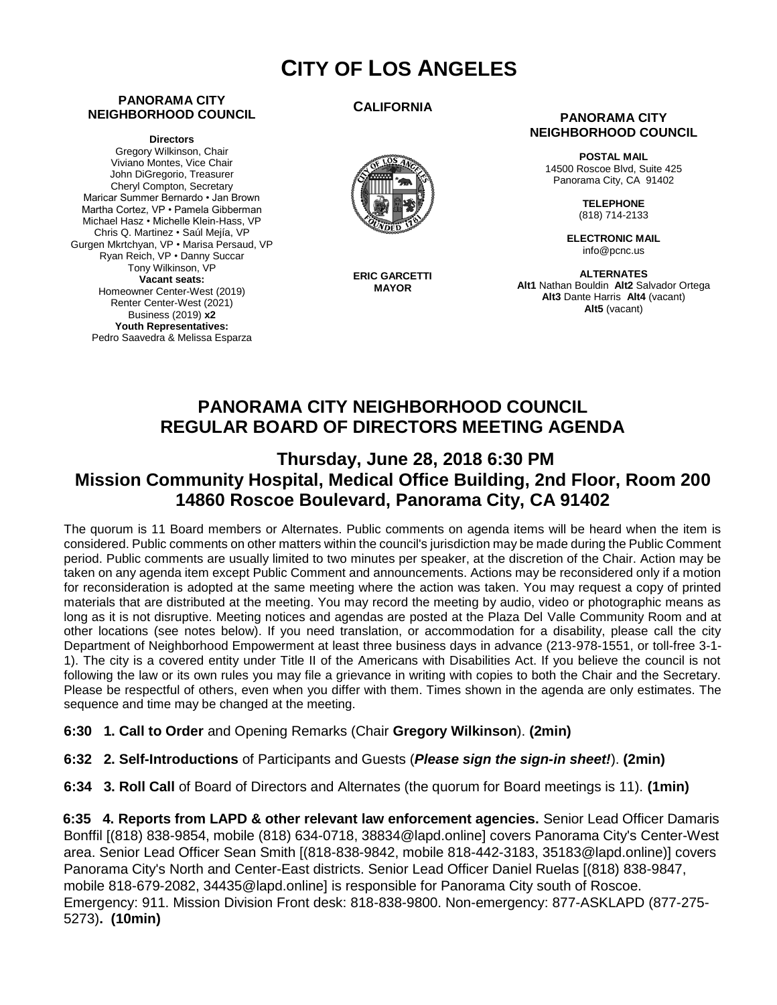# **CITY OF LOS ANGELES**

#### **PANORAMA CITY NEIGHBORHOOD COUNCIL**

**Directors**

Gregory Wilkinson, Chair Viviano Montes, Vice Chair John DiGregorio, Treasurer Cheryl Compton, Secretary Maricar Summer Bernardo • Jan Brown Martha Cortez, VP • Pamela Gibberman Michael Hasz • Michelle Klein-Hass, VP Chris Q. Martinez • Saúl Mejía, VP Gurgen Mkrtchyan, VP • Marisa Persaud, VP Ryan Reich, VP • Danny Succar Tony Wilkinson, VP **Vacant seats:**  Homeowner Center-West (2019) Renter Center-West (2021) Business (2019) **x2 Youth Representatives:**  Pedro Saavedra & Melissa Esparza

#### **CALIFORNIA**



**ERIC GARCETTI MAYOR**

#### **PANORAMA CITY NEIGHBORHOOD COUNCIL**

**POSTAL MAIL** 14500 Roscoe Blvd, Suite 425 Panorama City, CA 91402

> **TELEPHONE** (818) 714-2133

**ELECTRONIC MAIL** info@pcnc.us

**ALTERNATES Alt1** Nathan Bouldin **Alt2** Salvador Ortega **Alt3** Dante Harris **Alt4** (vacant) **Alt5** (vacant)

# **PANORAMA CITY NEIGHBORHOOD COUNCIL REGULAR BOARD OF DIRECTORS MEETING AGENDA**

# **Thursday, June 28, 2018 6:30 PM Mission Community Hospital, Medical Office Building, 2nd Floor, Room 200 14860 Roscoe Boulevard, Panorama City, CA 91402**

The quorum is 11 Board members or Alternates. Public comments on agenda items will be heard when the item is considered. Public comments on other matters within the council's jurisdiction may be made during the Public Comment period. Public comments are usually limited to two minutes per speaker, at the discretion of the Chair. Action may be taken on any agenda item except Public Comment and announcements. Actions may be reconsidered only if a motion for reconsideration is adopted at the same meeting where the action was taken. You may request a copy of printed materials that are distributed at the meeting. You may record the meeting by audio, video or photographic means as long as it is not disruptive. Meeting notices and agendas are posted at the Plaza Del Valle Community Room and at other locations (see notes below). If you need translation, or accommodation for a disability, please call the city Department of Neighborhood Empowerment at least three business days in advance (213-978-1551, or toll-free 3-1- 1). The city is a covered entity under Title II of the Americans with Disabilities Act. If you believe the council is not following the law or its own rules you may file a grievance in writing with copies to both the Chair and the Secretary. Please be respectful of others, even when you differ with them. Times shown in the agenda are only estimates. The sequence and time may be changed at the meeting.

- **6:30 1. Call to Order** and Opening Remarks (Chair **Gregory Wilkinson**). **(2min)**
- **6:32 2. Self-Introductions** of Participants and Guests (*Please sign the sign-in sheet!*). **(2min)**
- **6:34 3. Roll Call** of Board of Directors and Alternates (the quorum for Board meetings is 11). **(1min)**

**6:35 4. Reports from LAPD & other relevant law enforcement agencies.** Senior Lead Officer Damaris Bonffil [(818) 838-9854, mobile (818) 634-0718, 38834@lapd.online] covers Panorama City's Center-West area. Senior Lead Officer Sean Smith [(818-838-9842, mobile 818-442-3183, 35183@lapd.online)] covers Panorama City's North and Center-East districts. Senior Lead Officer Daniel Ruelas [(818) 838-9847, mobile 818-679-2082, 34435@lapd.online] is responsible for Panorama City south of Roscoe. Emergency: 911. Mission Division Front desk: 818-838-9800. Non-emergency: 877-ASKLAPD (877-275- 5273)**. (10min)**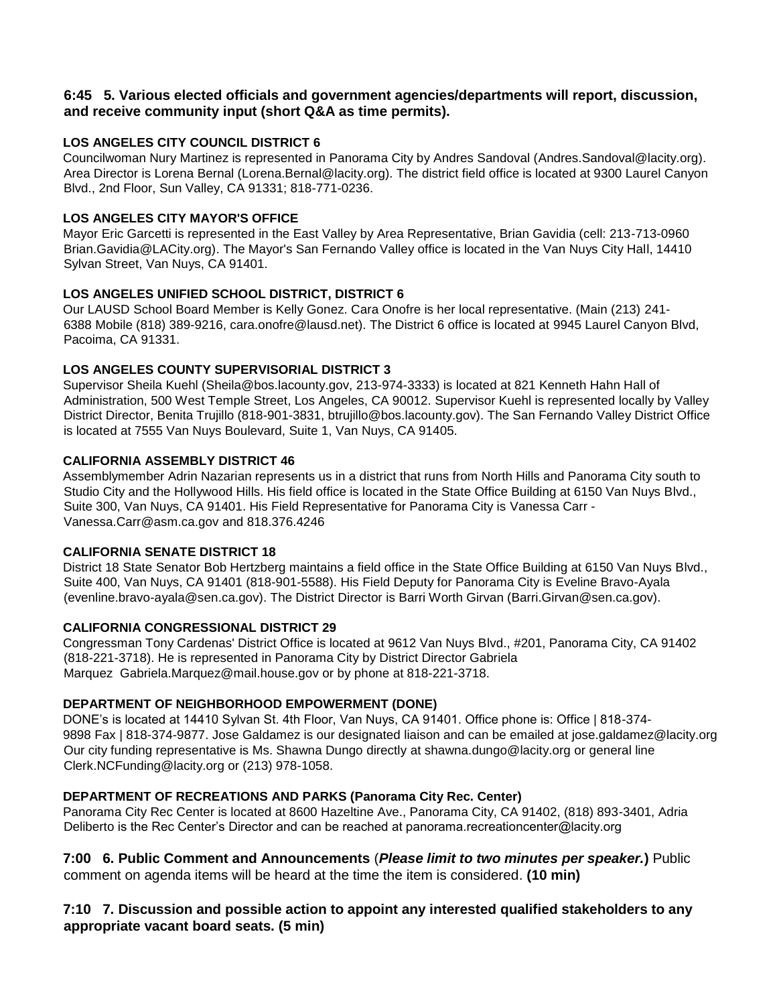#### **6:45 5. Various elected officials and government agencies/departments will report, discussion, and receive community input (short Q&A as time permits).**

### **LOS ANGELES CITY COUNCIL DISTRICT 6**

Councilwoman Nury Martinez is represented in Panorama City by Andres Sandoval (Andres. Sandoval@lacity.org). Area Director is Lorena Bernal (Lorena.Bernal@lacity.org). The district field office is located at 9300 Laurel Canyon Blvd., 2nd Floor, Sun Valley, CA 91331; 818-771-0236.

#### **LOS ANGELES CITY MAYOR'S OFFICE**

Mayor Eric Garcetti is represented in the East Valley by Area Representative, Brian Gavidia (cell: 213-713-0960 Brian.Gavidia@LACity.org). The Mayor's San Fernando Valley office is located in the Van Nuys City Hall, 14410 Sylvan Street, Van Nuys, CA 91401.

#### **LOS ANGELES UNIFIED SCHOOL DISTRICT, DISTRICT 6**

Our LAUSD School Board Member is Kelly Gonez. Cara Onofre is her local representative. (Main (213) 241- 6388 Mobile (818) 389-9216, cara.onofre@lausd.net). The District 6 office is located at 9945 Laurel Canyon Blvd, Pacoima, CA 91331.

#### **LOS ANGELES COUNTY SUPERVISORIAL DISTRICT 3**

Supervisor Sheila Kuehl (Sheila@bos.lacounty.gov, 213-974-3333) is located at 821 Kenneth Hahn Hall of Administration, 500 West Temple Street, Los Angeles, CA 90012. Supervisor Kuehl is represented locally by Valley District Director, Benita Trujillo (818-901-3831, btrujillo@bos.lacounty.gov). The San Fernando Valley District Office is located at 7555 Van Nuys Boulevard, Suite 1, Van Nuys, CA 91405.

#### **CALIFORNIA ASSEMBLY DISTRICT 46**

Assemblymember Adrin Nazarian represents us in a district that runs from North Hills and Panorama City south to Studio City and the Hollywood Hills. His field office is located in the State Office Building at 6150 Van Nuys Blvd., Suite 300, Van Nuys, CA 91401. His Field Representative for Panorama City is Vanessa Carr - Vanessa.Carr@asm.ca.gov and 818.376.4246

#### **CALIFORNIA SENATE DISTRICT 18**

District 18 State Senator Bob Hertzberg maintains a field office in the State Office Building at 6150 Van Nuys Blvd., Suite 400, Van Nuys, CA 91401 (818-901-5588). His Field Deputy for Panorama City is Eveline Bravo-Ayala (evenline.bravo-ayala@sen.ca.gov). The District Director is Barri Worth Girvan (Barri.Girvan@sen.ca.gov).

#### **CALIFORNIA CONGRESSIONAL DISTRICT 29**

Congressman Tony Cardenas' District Office is located at 9612 Van Nuys Blvd., #201, Panorama City, CA 91402 (818-221-3718). He is represented in Panorama City by District Director Gabriela Marquez Gabriela.Marquez@mail.house.gov or by phone at 818-221-3718.

#### **DEPARTMENT OF NEIGHBORHOOD EMPOWERMENT (DONE)**

DONE's is located at 14410 Sylvan St. 4th Floor, Van Nuys, CA 91401. Office phone is: Office | 818-374- 9898 Fax | 818-374-9877. Jose Galdamez is our designated liaison and can be emailed at jose.galdamez@lacity.org Our city funding representative is Ms. Shawna Dungo directly at shawna.dungo@lacity.org or general line Clerk.NCFunding@lacity.org or (213) 978-1058.

## **DEPARTMENT OF RECREATIONS AND PARKS (Panorama City Rec. Center)**

Panorama City Rec Center is located at 8600 Hazeltine Ave., Panorama City, CA 91402, (818) 893-3401, Adria Deliberto is the Rec Center's Director and can be reached at panorama.recreationcenter@lacity.org

**7:00 6. Public Comment and Announcements** (*Please limit to two minutes per speaker.***)** Public comment on agenda items will be heard at the time the item is considered. **(10 min)**

## **7:10 7. Discussion and possible action to appoint any interested qualified stakeholders to any appropriate vacant board seats. (5 min)**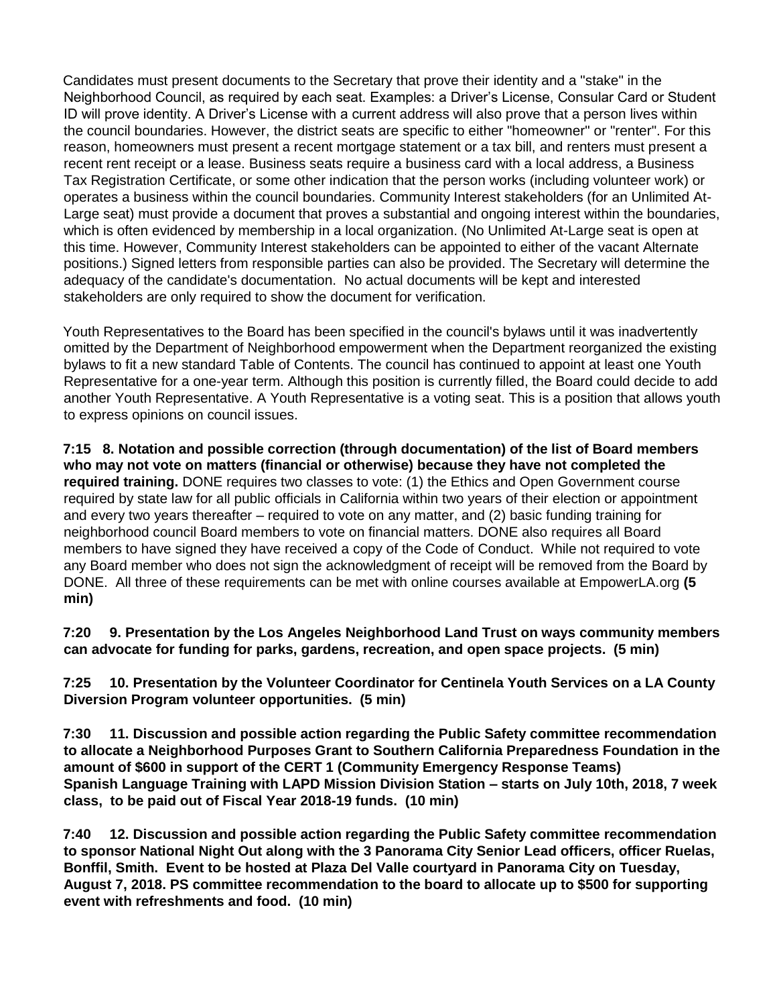Candidates must present documents to the Secretary that prove their identity and a "stake" in the Neighborhood Council, as required by each seat. Examples: a Driver's License, Consular Card or Student ID will prove identity. A Driver's License with a current address will also prove that a person lives within the council boundaries. However, the district seats are specific to either "homeowner" or "renter". For this reason, homeowners must present a recent mortgage statement or a tax bill, and renters must present a recent rent receipt or a lease. Business seats require a business card with a local address, a Business Tax Registration Certificate, or some other indication that the person works (including volunteer work) or operates a business within the council boundaries. Community Interest stakeholders (for an Unlimited At-Large seat) must provide a document that proves a substantial and ongoing interest within the boundaries, which is often evidenced by membership in a local organization. (No Unlimited At-Large seat is open at this time. However, Community Interest stakeholders can be appointed to either of the vacant Alternate positions.) Signed letters from responsible parties can also be provided. The Secretary will determine the adequacy of the candidate's documentation. No actual documents will be kept and interested stakeholders are only required to show the document for verification.

Youth Representatives to the Board has been specified in the council's bylaws until it was inadvertently omitted by the Department of Neighborhood empowerment when the Department reorganized the existing bylaws to fit a new standard Table of Contents. The council has continued to appoint at least one Youth Representative for a one-year term. Although this position is currently filled, the Board could decide to add another Youth Representative. A Youth Representative is a voting seat. This is a position that allows youth to express opinions on council issues.

**7:15 8. Notation and possible correction (through documentation) of the list of Board members who may not vote on matters (financial or otherwise) because they have not completed the required training.** DONE requires two classes to vote: (1) the Ethics and Open Government course required by state law for all public officials in California within two years of their election or appointment and every two years thereafter – required to vote on any matter, and (2) basic funding training for neighborhood council Board members to vote on financial matters. DONE also requires all Board members to have signed they have received a copy of the Code of Conduct. While not required to vote any Board member who does not sign the acknowledgment of receipt will be removed from the Board by DONE. All three of these requirements can be met with online courses available at EmpowerLA.org **(5 min)** 

**7:20 9. Presentation by the Los Angeles Neighborhood Land Trust on ways community members can advocate for funding for parks, gardens, recreation, and open space projects. (5 min)**

**7:25 10. Presentation by the Volunteer Coordinator for Centinela Youth Services on a LA County Diversion Program volunteer opportunities. (5 min)**

**7:30 11. Discussion and possible action regarding the Public Safety committee recommendation to allocate a Neighborhood Purposes Grant to Southern California Preparedness Foundation in the amount of \$600 in support of the CERT 1 (Community Emergency Response Teams) Spanish Language Training with LAPD Mission Division Station – starts on July 10th, 2018, 7 week class, to be paid out of Fiscal Year 2018-19 funds. (10 min)**

**7:40 12. Discussion and possible action regarding the Public Safety committee recommendation to sponsor National Night Out along with the 3 Panorama City Senior Lead officers, officer Ruelas, Bonffil, Smith. Event to be hosted at Plaza Del Valle courtyard in Panorama City on Tuesday, August 7, 2018. PS committee recommendation to the board to allocate up to \$500 for supporting event with refreshments and food. (10 min)**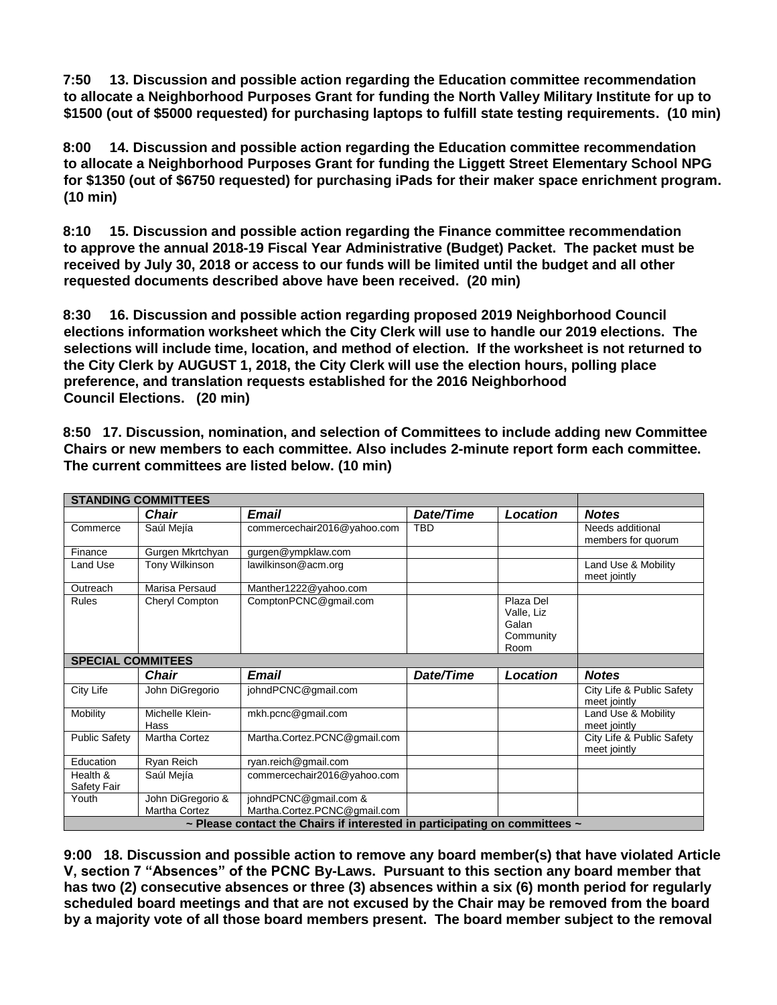**7:50 13. Discussion and possible action regarding the Education committee recommendation to allocate a Neighborhood Purposes Grant for funding the North Valley Military Institute for up to \$1500 (out of \$5000 requested) for purchasing laptops to fulfill state testing requirements. (10 min)**

**8:00 14. Discussion and possible action regarding the Education committee recommendation to allocate a Neighborhood Purposes Grant for funding the Liggett Street Elementary School NPG for \$1350 (out of \$6750 requested) for purchasing iPads for their maker space enrichment program. (10 min)**

**8:10 15. Discussion and possible action regarding the Finance committee recommendation to approve the annual 2018-19 Fiscal Year Administrative (Budget) Packet. The packet must be received by July 30, 2018 or access to our funds will be limited until the budget and all other requested documents described above have been received. (20 min)** 

**8:30 16. Discussion and possible action regarding proposed 2019 Neighborhood Council elections information worksheet which the City Clerk will use to handle our 2019 elections. The selections will include time, location, and method of election. If the worksheet is not returned to the City Clerk by AUGUST 1, 2018, the City Clerk will use the election hours, polling place preference, and translation requests established for the 2016 Neighborhood Council Elections. (20 min)**

| <b>STANDING COMMITTEES</b>                                                           |                                    |                                                       |            |                                                       |                                           |
|--------------------------------------------------------------------------------------|------------------------------------|-------------------------------------------------------|------------|-------------------------------------------------------|-------------------------------------------|
|                                                                                      | Chair                              | Email                                                 | Date/Time  | <b>Location</b>                                       | <b>Notes</b>                              |
| Commerce                                                                             | Saúl Mejía                         | commercechair2016@yahoo.com                           | <b>TBD</b> |                                                       | Needs additional<br>members for quorum    |
| Finance                                                                              | Gurgen Mkrtchyan                   | gurgen@ympklaw.com                                    |            |                                                       |                                           |
| Land Use                                                                             | <b>Tony Wilkinson</b>              | lawilkinson@acm.org                                   |            |                                                       | Land Use & Mobility<br>meet jointly       |
| Outreach                                                                             | Marisa Persaud                     | Manther1222@yahoo.com                                 |            |                                                       |                                           |
| <b>Rules</b>                                                                         | Cheryl Compton                     | ComptonPCNC@gmail.com                                 |            | Plaza Del<br>Valle, Liz<br>Galan<br>Community<br>Room |                                           |
| <b>SPECIAL COMMITEES</b>                                                             |                                    |                                                       |            |                                                       |                                           |
|                                                                                      | Chair                              | <b>Email</b>                                          | Date/Time  | Location                                              | <b>Notes</b>                              |
| City Life                                                                            | John DiGregorio                    | johndPCNC@gmail.com                                   |            |                                                       | City Life & Public Safety<br>meet jointly |
| Mobility                                                                             | Michelle Klein-<br>Hass            | mkh.pcnc@gmail.com                                    |            |                                                       | Land Use & Mobility<br>meet jointly       |
| <b>Public Safety</b>                                                                 | Martha Cortez                      | Martha.Cortez.PCNC@gmail.com                          |            |                                                       | City Life & Public Safety<br>meet jointly |
| Education                                                                            | Ryan Reich                         | ryan.reich@gmail.com                                  |            |                                                       |                                           |
| Health &<br>Safety Fair                                                              | Saúl Mejía                         | commercechair2016@yahoo.com                           |            |                                                       |                                           |
| Youth                                                                                | John DiGregorio &<br>Martha Cortez | johndPCNC@gmail.com &<br>Martha.Cortez.PCNC@gmail.com |            |                                                       |                                           |
| $\sim$ Please contact the Chairs if interested in participating on committees $\sim$ |                                    |                                                       |            |                                                       |                                           |
|                                                                                      |                                    |                                                       |            |                                                       |                                           |

**8:50 17. Discussion, nomination, and selection of Committees to include adding new Committee Chairs or new members to each committee. Also includes 2-minute report form each committee. The current committees are listed below. (10 min)** 

**9:00 18. Discussion and possible action to remove any board member(s) that have violated Article V, section 7 "Absences" of the PCNC By-Laws. Pursuant to this section any board member that has two (2) consecutive absences or three (3) absences within a six (6) month period for regularly scheduled board meetings and that are not excused by the Chair may be removed from the board by a majority vote of all those board members present. The board member subject to the removal**